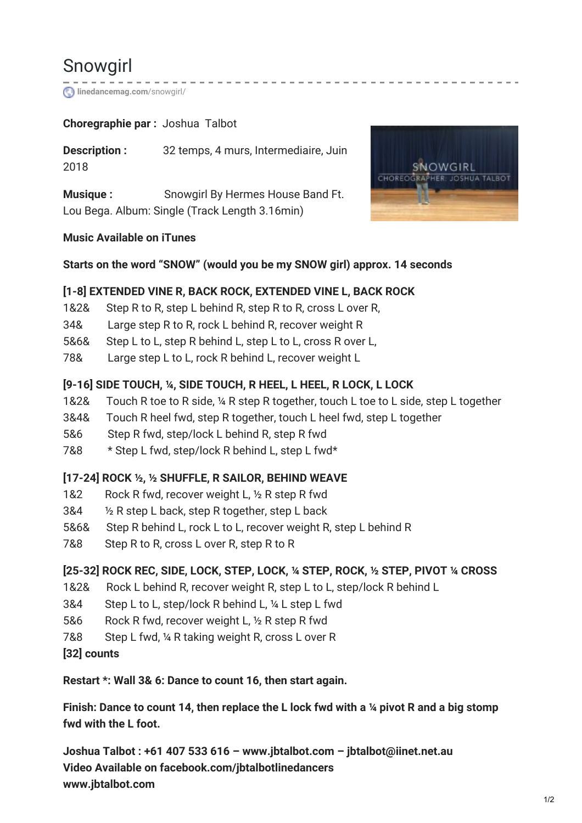# Snowgirl

**[linedancemag.com](https://www.linedancemag.com/snowgirl/)**/snowgirl/

# **Choregraphie par :** Joshua Talbot

**Description :** 32 temps, 4 murs, Intermediaire, Juin 2018

**Musique :** Snowgirl By Hermes House Band Ft. Lou Bega. Album: Single (Track Length 3.16min)

#### **Music Available on iTunes**

#### **Starts on the word "SNOW" (would you be my SNOW girl) approx. 14 seconds**

#### **[1-8] EXTENDED VINE R, BACK ROCK, EXTENDED VINE L, BACK ROCK**

- 1&2& Step R to R, step L behind R, step R to R, cross L over R,
- 34& Large step R to R, rock L behind R, recover weight R
- 5&6& Step L to L, step R behind L, step L to L, cross R over L,
- 78& Large step L to L, rock R behind L, recover weight L

# **[9-16] SIDE TOUCH, ¼, SIDE TOUCH, R HEEL, L HEEL, R LOCK, L LOCK**

- 1&2& Touch R toe to R side, ¼ R step R together, touch L toe to L side, step L together
- 3&4& Touch R heel fwd, step R together, touch L heel fwd, step L together
- 5&6 Step R fwd, step/lock L behind R, step R fwd
- 7&8 \* Step L fwd, step/lock R behind L, step L fwd\*

# **[17-24] ROCK ½, ½ SHUFFLE, R SAILOR, BEHIND WEAVE**

- 1&2 Rock R fwd, recover weight L, 1/2 R step R fwd
- 3&4 ½ R step L back, step R together, step L back
- 5&6& Step R behind L, rock L to L, recover weight R, step L behind R
- 7&8 Step R to R, cross L over R, step R to R

# **[25-32] ROCK REC, SIDE, LOCK, STEP, LOCK, ¼ STEP, ROCK, ½ STEP, PIVOT ¼ CROSS**

- 1&2& Rock L behind R, recover weight R, step L to L, step/lock R behind L
- 3&4 Step L to L, step/lock R behind L, ¼ L step L fwd
- 5&6 Rock R fwd, recover weight L, 1/2 R step R fwd
- 7&8 Step L fwd, ¼ R taking weight R, cross L over R
- **[32] counts**

#### **Restart \*: Wall 3& 6: Dance to count 16, then start again.**

Finish: Dance to count 14, then replace the L lock fwd with a 1/4 pivot R and a big stomp **fwd with the L foot.**

**Joshua Talbot : +61 407 533 616 – www.jbtalbot.com – jbtalbot@iinet.net.au Video Available on facebook.com/jbtalbotlinedancers www.jbtalbot.com**